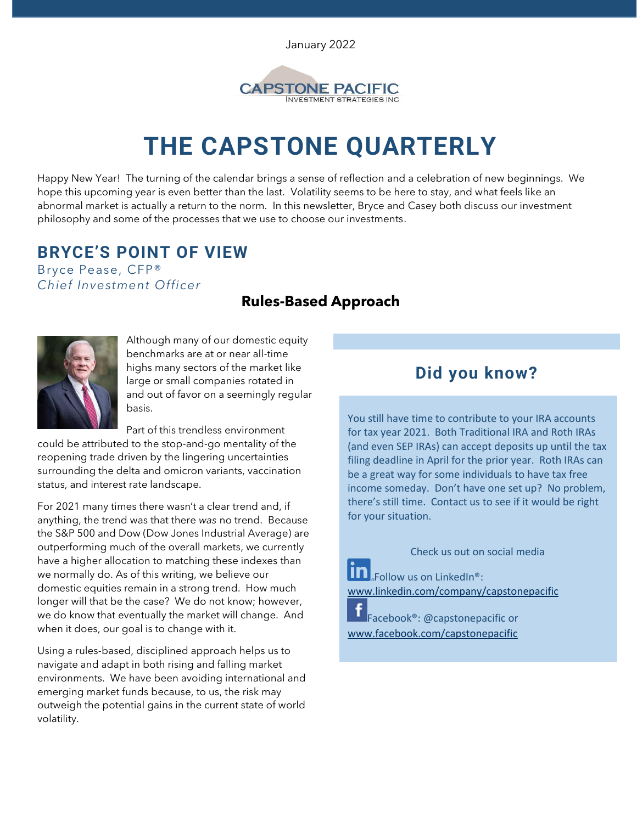January 2022



# **THE CAPSTONE QUARTERLY**

Happy New Year! The turning of the calendar brings a sense of reflection and a celebration of new beginnings. We hope this upcoming year is even better than the last. Volatility seems to be here to stay, and what feels like an abnormal market is actually a return to the norm. In this newsletter, Bryce and Casey both discuss our investment philosophy and some of the processes that we use to choose our investments.

# **BRYCE'S POINT OF VIEW**

Bryce Pease, CFP® *Chief Investment Officer*

### **Rules-Based Approach**



Although many of our domestic equity benchmarks are at or near all-time highs many sectors of the market like large or small companies rotated in and out of favor on a seemingly regular basis.

Part of this trendless environment

could be attributed to the stop-and-go mentality of the reopening trade driven by the lingering uncertainties surrounding the delta and omicron variants, vaccination status, and interest rate landscape.

For 2021 many times there wasn't a clear trend and, if anything, the trend was that there *was* no trend. Because the S&P 500 and Dow (Dow Jones Industrial Average) are outperforming much of the overall markets, we currently have a higher allocation to matching these indexes than we normally do. As of this writing, we believe our domestic equities remain in a strong trend. How much longer will that be the case? We do not know; however, we do know that eventually the market will change. And when it does, our goal is to change with it.

Using a rules-based, disciplined approach helps us to navigate and adapt in both rising and falling market environments. We have been avoiding international and emerging market funds because, to us, the risk may outweigh the potential gains in the current state of world volatility.

## **Did you know?**

You still have time to contribute to your IRA accounts for tax year 2021. Both Traditional IRA and Roth IRAs (and even SEP IRAs) can accept deposits up until the tax filing deadline in April for the prior year. Roth IRAs can be a great way for some individuals to have tax free income someday. Don't have one set up? No problem, there's still time. Contact us to see if it would be right for your situation.

Check us out on social media **Follow us on LinkedIn®:** [www.linkedin.com/company/capstonepacific](http://www.linkedin.com/company/capstonepacific)

Facebook®: @capstonepacific or [www.facebook.com/capstonepacific](http://www.facebook.com/capstonepacific)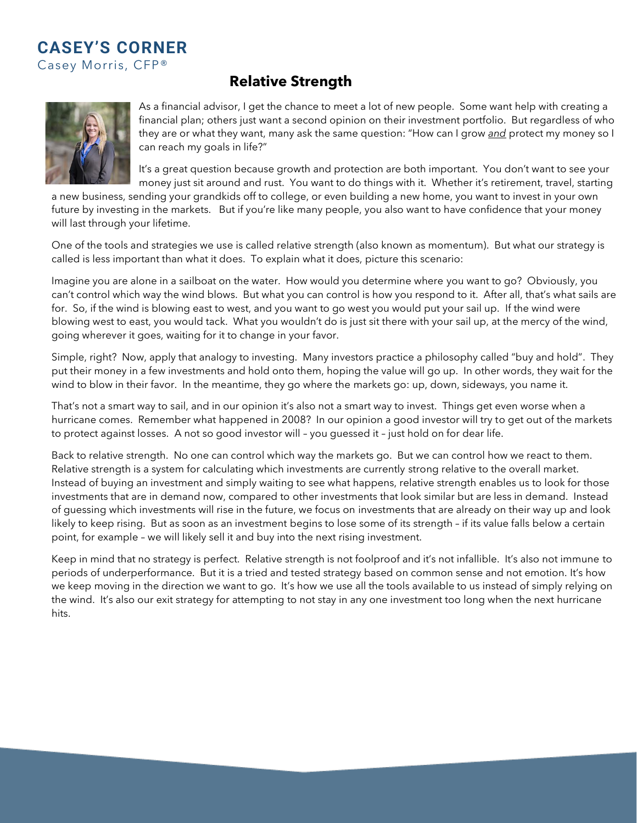#### **CASEY'S CORNER**  Casey Morris, CFP®

#### **Relative Strength**



As a financial advisor, I get the chance to meet a lot of new people. Some want help with creating a financial plan; others just want a second opinion on their investment portfolio. But regardless of who they are or what they want, many ask the same question: "How can I grow *and* protect my money so I can reach my goals in life?"

It's a great question because growth and protection are both important. You don't want to see your money just sit around and rust. You want to do things with it. Whether it's retirement, travel, starting

a new business, sending your grandkids off to college, or even building a new home, you want to invest in your own future by investing in the markets. But if you're like many people, you also want to have confidence that your money will last through your lifetime.

One of the tools and strategies we use is called relative strength (also known as momentum). But what our strategy is called is less important than what it does. To explain what it does, picture this scenario:

Imagine you are alone in a sailboat on the water. How would you determine where you want to go? Obviously, you can't control which way the wind blows. But what you can control is how you respond to it. After all, that's what sails are for. So, if the wind is blowing east to west, and you want to go west you would put your sail up. If the wind were blowing west to east, you would tack. What you wouldn't do is just sit there with your sail up, at the mercy of the wind, going wherever it goes, waiting for it to change in your favor.

Simple, right? Now, apply that analogy to investing. Many investors practice a philosophy called "buy and hold". They put their money in a few investments and hold onto them, hoping the value will go up. In other words, they wait for the wind to blow in their favor. In the meantime, they go where the markets go: up, down, sideways, you name it.

That's not a smart way to sail, and in our opinion it's also not a smart way to invest. Things get even worse when a hurricane comes. Remember what happened in 2008? In our opinion a good investor will try to get out of the markets to protect against losses. A not so good investor will – you guessed it – just hold on for dear life.

Back to relative strength. No one can control which way the markets go. But we can control how we react to them. Relative strength is a system for calculating which investments are currently strong relative to the overall market. Instead of buying an investment and simply waiting to see what happens, relative strength enables us to look for those investments that are in demand now, compared to other investments that look similar but are less in demand. Instead of guessing which investments will rise in the future, we focus on investments that are already on their way up and look likely to keep rising. But as soon as an investment begins to lose some of its strength – if its value falls below a certain point, for example – we will likely sell it and buy into the next rising investment.

Keep in mind that no strategy is perfect. Relative strength is not foolproof and it's not infallible. It's also not immune to periods of underperformance. But it is a tried and tested strategy based on common sense and not emotion. It's how we keep moving in the direction we want to go. It's how we use all the tools available to us instead of simply relying on the wind. It's also our exit strategy for attempting to not stay in any one investment too long when the next hurricane hits.